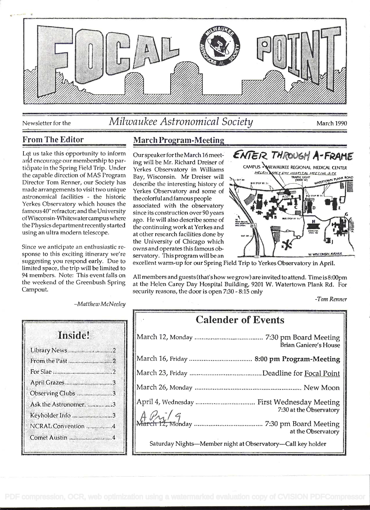

Newsletter for the

# Milwaukee Astronomical Society

March 1990

### **From The Editor**

Let us take this opportunity to inform and encourage our membership to participate in the Spring Field Trip. Under the capable direction of MAS Program Director Tom Renner, our Society has made arrangements to visit two unique astronomical facilities - the historic Yerkes Observatory which houses the famous 40" refractor; and the University of Wisconsin-Whitewater campus where the Physics department recently started using an ultra modern telescope.

Since we anticipate an enthusiastic response to this exciting itinerary we're suggesting you respond early. Due to limited space, the trip will be limited to 94 members. Note: This event falls on the weekend of the Greenbush Spring Campout.

### **March Program-Meeting**

Our speaker for the March 16 meeting will be Mr. Richard Dreiser of Yerkes Observatory in Williams Bay, Wisconsin. Mr Dreiser will describe the interesting history of Yerkes Observatory and some of the colorful and famous people associated with the observatory since its construction over 90 years ago. He will also describe some of the continuing work at Yerkes and at other research facilities done by the University of Chicago which owns and operates this famous observatory. This program will be an





excellent warm-up for our Spring Field Trip to Yerkes Observatory in April.

All members and guests (that's how we grow) are invited to attend. Time is 8:00pm at the Helen Carey Day Hospital Building, 9201 W. Watertown Plank Rd. For security reasons, the door is open 7:30 - 8:15 only

-Tom Renner

 $-Mat$ thew McNeeley

| Library News 2        |  |
|-----------------------|--|
|                       |  |
|                       |  |
| April Grazes3         |  |
| Observing Clubs 3     |  |
| Ask the Astronomer. 3 |  |
| Keyholder Info 3      |  |
| NCRAL Convention 4    |  |
| Comet Austin 4        |  |

# **Calender of Events**

| Brian Ganiere's House                                                  |
|------------------------------------------------------------------------|
|                                                                        |
|                                                                        |
|                                                                        |
| April 4, Wednesday  First Wednesday Meeting<br>7:30 at the Observatory |
| at the Observatory                                                     |
| Saturday Nights-Member night at Observatory-Call key holder            |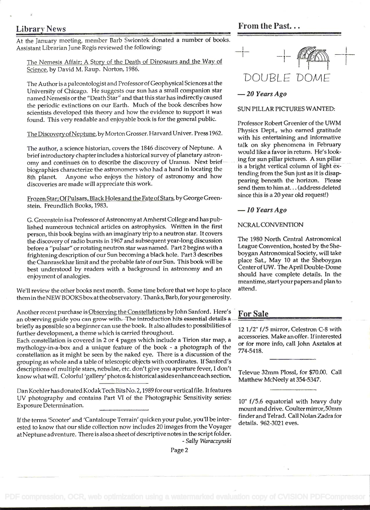At the January meeting, member Barb Swiontek donated a number of books. Assistant Librarian June Regis reviewed the following:

The Nemesis Affair; A Story of the Death of Dinosaurs and the Way of Science, by David M. Raup. Norton, 1986.

The Author is a paleontologist and Professor of Geophysical Sciences at the University of Chicago. He suggests our sun has a small companion star "Death -20 Years Ago named Nemesis or the Star" and that this star has indirectly caused the periodic extinctions on our Earth. Much of the book describes how<br>SUN PILLAR PICTURES WANTED: scientists developed this theory and how the evidence to support it was found. This very readable and enjoyable book is for the general public. Professor Robert Greenier of the UWM

The Discovery of Neptune, by Morton Grosser. Harvard Univer. Press 1962. Physics Dept., who earned gratitude

The author, a science historian, covers the 1846 discovery of Neptune. A talk on sky phenomena in February brief introductory chapter includes a historical survey of planetary astron-<br>ing for sun pillar pictures. A sun pillar omy and continues on to describe the discovery of Uranus. Next brief is a bright vertical column of light exbiographies characterize the astronomers who had a hand in locating the is a bright vertical column of light ex-<br>all ultrade the summary and how tending from the Sun just as it is disap-8th planet. Anyone who enjoys the history of astronomy and how tending from the Sun just as it is disap-<br>pearing beneath the horizon. Please discoveries are made will appreciate this work.

Frozen Star; Of Pulsars, Black Holes and the Fate of Stars, by George Green- since this is a 20 year old request!) stein. Freundlich Books, 1983.  $-10$  Years Ago

G. Greenstein is a Professor of Astronomy at Amherst College and has published numerous technical articles on astrophysics. Written in the first NCRAL CONVENTION person, this book begins with an imaginary trip to a neutron star. It covers<br>the discovery of radio bursts in 1967 and subsequent vear-long discussion The 1980 North Central Astronomical the discovery of radio bursts in 1967 and subsequent year-long discussion The 1980 North Central Astronomical<br>hefore a "pulsar" or rotating peutron star was named. Part 2 begins with a League Convention, hosted by the She before a "pulsar" or rotating neutron star was named. Part 2 begins with a League Convention, hosted by the She-<br>frightening description of our Sun becoming a black hole. Part 3 describes Looygan Astronomical Society, will frightening description of our Sun becoming a black hole. Part 3 describes boygan Astronomical Society, will take<br>the Chanrasekhar limit and the probable fate of our Sun. This book will be place Sat., May 10 at the Sheboyg the Chanrasekhar limit and the probable fate of our Sun. This book will be place Sat., May 10 at the Sheboygan<br>host understood by readers with a hackground in astronomy and an Center of UW. The April Double-Dome best understood by readers with a background in astronomy and an end and the state of analogies.<br>
enjoyment of analogies. The should have complete details. In the

We'll review the other books next month. Some time before that we hope to place attend. them in the NEW BOOKS box at the observa tory. Thanks, Barb, for your generosity.

Another recent purchase is Observing the Constellations by John Sanford. Here's For Sale an observing guide you can grow with. The introduction hits essential details a briefly as possible so a beginner can use the book. It also alludes to possibilities of 12 1/2" f/5 mirror, Celestron C-8 with

further development, a theme which is carried throughout.<br>
Each constellation is covered in 2 or 4 pages which include a Tirion star map, a accessories. Make anoffer. If interested or for more info, call John Asztalos at mythology-in-a-box and a unique feature of the book - a photograph of the  $\frac{0.001 \text{ N}}{774-5418}$ . constellation as it might be seen by the naked eye. There is a discussion of the grouping as whole and a table of telescopic objects with coordinates. If Sanford's descriptions of multiple stars, nebulae, etc. don't give you aperture fever, I don't<br>https://www.given.com/theserver/states/and-tates/and-tates-and-tates-and-tates-and-tates-and-tates-and-tatesknow what will. Colorful 'gallery' photos & historical asides enhance each section. \_\_\_\_\_\_\_\_\_\_\_\_\_\_\_\_\_\_\_\_\_\_\_\_\_\_<br>Matthew McNeely at 354-5347.

Dan Koehler has donated Kodak Tech Bits No. 2, 1989 for our vertical file. It features Uy photography and contains Part VI of the Photographic Sensitivity series: Exposure Determination.

If the terms 'Scooter' and 'Cantaloupe Terrain' quicken your pulse, you'll be interested to know that our slide collection now includes 20 images from the Voyager at Neptune adventure. There is also a sheet of descriptive notes in the script folder.<br>- Sally Waraczynski



with his entertaining and informative<br>talk on sky phenomena in February send them to him at. . . (address deleted

meantime, startyour papers and plan to

 $10"$  f/5.6 equatorial with heavy duty mountand drive. Coultermirror,5Omm finder and Teirad. Call Nolan Zadra for details. 962-3021 eves.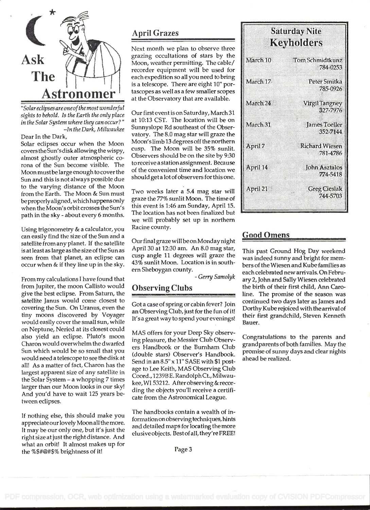

"Solar eclipses are one ofthe most wonderful sights to behold. Is the Earth the only place in the Solar System where they can occur?" -In the Dark, Milwaukee

Dear In the Dark,

Solar eclipses occur when the Moon covers the Sun's disk allowing the wispy, almost ghostly outer atmospheric corona of the Sun become visible. The Moon mustbe large enough to cover the Sun and this is not always possible due to the varying distance of the Moon from the Earth. The Moon & Sun must be properly aligned, which happens only when the Moon's orbit crosses the Sun's path in the sky - about every 6 months.

Using trigonometry & a calculator, you can easily find the size of the Sun and a satellite from any planet. If the satellite is at least as large as the size of the Sun as seen from that planet, an eclipse can occur when & if they line up in the sky.

From my calculations I have found that from Jupiter, the moon Callisto would give the best eclipse. From Saturn, the satellite Janus would come closest to covering the Sun. On Uranus, even the tiny moons discovered by Voyager would easily cover the small sun, while on Neptune, Neried at its closest could also yield an eclipse. Pluto's moon Charon would overwhelm the dwarfed Sun which would be so small that you would need a telescope to see the disk at all! As a matter of fact, Charon has the largest apparent size of any satellite in the Solar System -a whopping 7 times larger than our Moon looks in our sky! And you'd have to wait 125 years between eclipses.

If nothing else, this should make you appreciate ourlovely Moon all the more. It may be our only one, but it's just the right size at just the right distance. And what an orbit! It almost makes up for the %\$#@#\$% brightness of it!

# April Grazes

r' ascopes as well as a few shaller scopes at the Observatory that are available. Next month we plan to observe three grazing occultations of stars by the Moon, weather permitting. The cable/ recorder equipment will be used for each expedition so all you need to bring is a telescope. There are eight 10' portascopes as well as a few smaller scopes

> Our first event is on Saturday, March31 at 10:13 CST. The location will be on Sunnyslope Rd southeast of the Observatory. The 8.0 mag star will graze the Moon's limb 13 degrees off the northern cusp. The Moon will be 35% sunlit. Observers should be on the site by 9:30 to receive a station assignment. Because of the convenient time and location we should get a lot of observers for this one.

> Two weeks later a 5.4 mag star will graze the 77% sunlit Moon. The time of this event is 1:46 am Sunday, April 15. The location has not been finalized but we will probably set up in northern Racine county.

> Our final graze will be on Monday night April 30 at 12:30 am. An 8.0 mag star, cusp angle 11 degrees will graze the 43% sunlit Moon. Location is in south em Sheboygan county.

> > - Gerry Samolyk

# Observing Clubs

Got a case of spring or cabin fever? Join an Observing Clûb, just for the fun of it! It's a great way to spend your evenings!

MAS offers for your Deep Sky observing pleasure, the Messier Club Observers Handbook or the Burnham Club (double stars) Observer's Handbook. Send in an 8.5" x 11" SASE with \$1 postage to Lee Keith, MAS Observing Club Coord., 1239BE. Randolph Ct., Milwaukee,WI 53212. Afterobserving &recording the objects you'll receive a certificate from the Astronomical League.

The handbooks contain a wealth of information on observing techniques, hints and detailed maps for locating the more elusive objects. Bestofall, they'reFREE!

| <b>Saturday Nite</b><br>Keyholders |                                   |  |  |  |  |  |
|------------------------------------|-----------------------------------|--|--|--|--|--|
| March 10                           | Tom Schmidtkunz<br>784-0253       |  |  |  |  |  |
| March 17                           | Peter Smitka<br>785-0926          |  |  |  |  |  |
| March <sub>24</sub>                | <b>Virgil Tangney</b><br>327-7976 |  |  |  |  |  |
| March <sub>31</sub>                | James Toeller<br>352-7144         |  |  |  |  |  |
| April 7                            | <b>Richard Wiesen</b><br>781-4786 |  |  |  |  |  |
| April 14                           | <b>John Asztalos</b><br>774-5418  |  |  |  |  |  |
| April 21                           | <b>Greg Cieslak</b><br>744-5703   |  |  |  |  |  |

### Good Omens

This past Ground Hog Day weekend was indeed sunny and bright for members of the Wiesen and Kube families as each celebrated new arrivals. On February 2, John and Sally Wiesen celebrated the birth of their first child, Ann Caroline. The promise of the season was continued two days later as James and Dorthy Kube rejoiced with the arrival of their first grandchild, Steven Kenneth Bauer.

Congratulations to the parents and grandparents of both families. May the promise of sunny days and clear nights ahead be realized.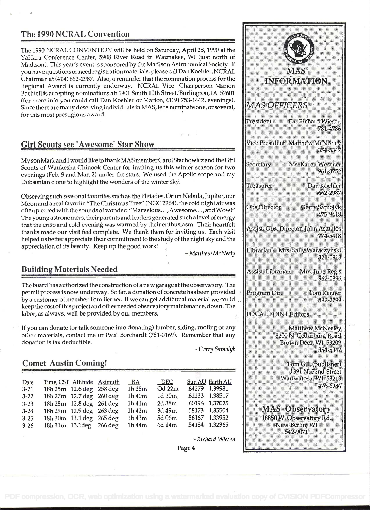## The 1990 NCRAL Convention

The 1990 NCRAL CONVENTION will be held on Saturday, April 28, 1990 at the YaHara Conference Center, 5908 River Road in Waunakee, WI (just north of Madison). This year's event is sponsored by the Madison Astronomical Society. If you have questions or need registration materials, please call Dan Koehler, NCRAL Chairman at (414) 662-2987. Also, a reminder that the nomination process for the Regional Award is currently underway. NCRAL Vice Chairperson Marion Bachtell is accepting nominations at: 1901 South 10th Street, Burlington, IA 52601 (for more info you could call Dan Koehler or Marion, (319) 753-1442, evenings).<br>Since there are many deserving individuals in MAS Jet's nominate one, or several  $MAS$   $OFFICERS$ Since there are many deserving individuals in MAS, let's nominate one, or several, for this most prestigious award.

### Girl Scouts see 'Awesome' Star Show

My son Mark and I would like to thank MAS member Carol Stachowicz and the Girl Scouts of Waukesha Chinook Center for inviting us this winter season for two evenings (Feb. 9 and Mar. 2) under the stars. We used the Apollo scope and my Dobsonian clone to highlight the wonders of the winter sky.

Observing such seasonal favorites such as the Pleiades, Orion Nebula, Jupiter, our Moon and a real favorite "The Christmas Tree" (NCC 2264), the cold night air was often pierced with the sounds of wonder: "Marvelous. . ., Awesome. . . , and Wow!" The young astronomers, their parents and leaders generated such a level of energy that the crisp and cold evening was warmed by their enthusiasm. Their heartfelt Assist. Obs. Director John Asztalos thanks made our visit feel complete. We thank them for inviting us. Each visit helped us better appreciate their commitment to the study of the night sky and the appreciation of its beauty. Keep up the good work!

### Building Materials Needed .

The board has authorized the construction of a new garage at the observatory. The permit process is now underway. So far, a donation of concrete has been provided  $\|$  Program Dir. by a customer of member Tom Berner. If we can get additional material we could keep the cost of this project and other needed observatorymaintenance, down. The labor, as always, well be provided by our members.

If you can donate (or talk someone into donating) lumber, siding, roofing or any other materials, contact me or Paul Borchardt (781-0169). Remember that any donation is tax deductible.<br>
- Gerry Samolyk

# Comet Austin Coming!

| Date     |                          | Time, CST Altitude Azimuth | <b>RA</b> | DEC         | Sun AU Earth AU |
|----------|--------------------------|----------------------------|-----------|-------------|-----------------|
| $3 - 21$ |                          | 18h 25m 12.6 deg 258 deg   | 1h38m     | $Od$ 22 $m$ | .64279 1.39981  |
| $3 - 22$ |                          | 18h 27m 12.7 deg 260 deg   | 1h40m     | $1d$ 30 $m$ | .62233 1.38517  |
| $3 - 23$ | 18h 28m 12.8 deg 261 deg |                            | 1h41m     | 2d38m       | .60196 1.37025  |
| $3 - 24$ |                          | 18h 29m 12.9 deg 263 deg   | 1h42m     | 3d 49m      | .58173 1.35504  |
| $3 - 25$ |                          | 18h 30m 13.1 deg 265 deg   | 1h43m     | 5d 06m      | .56167 1.33952  |
| $3 - 26$ | 18h 31m 13.1deg 266 deg  |                            | 1h44m     | 6d 14m      | .54184 1.32365  |

- Richard Wiesen

**MAS INFORMATION**  $\epsilon$ President Dr. Richard Wiesen 781-4786 Vice President Matthew McNeeley 354-5347 Ms. Karen Wesener 961-8752 Treasurer Dan Koehler 662-2987 Gerry Samolyk 475-9418  $774 - 5418$ - Matthew McNeely | Librarian Mrs. Sally Waraczynski 321-0918 Assist. Librarian Mrs. June Regis 962-0896. **Tom Renner** 392-2799 **FOCAL POINT Editors Matthew McNeelev** 8200 N. Cedarburg Road Brown Deer, WI 53209 354-5347 Tom Gill (publisher)

1391 N. 72nd Street Wauwatosa, WI 53213 476-6986

**MAS** Observatory 18850 W. Observatory Rd. New Berlin, WI 542-9071

Page 4